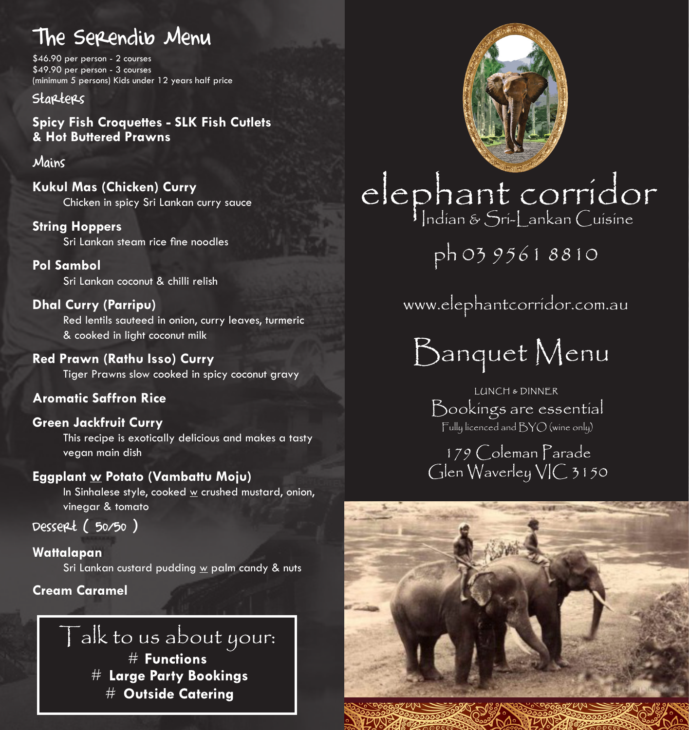# The Serendib Menu

\$46.90 per person - 2 courses \$49.90 per person - 3 courses (minimum 5 persons) Kids under 12 years half price

#### Starters

Spicy Fish Croquettes - SLK Fish Cutlets<br>& Hot Buttered Prawns **& Hot Buttered Prawns**

#### Mains

**Kukul Mas (Chicken) Curry** Chicken in spicy Sri Lankan curry sauce

#### **String Hoppers**

 Sri Lankan steam rice fine noodles

## **Pol Sambol**

Sri Lankan coconut & chilli relish

### **Dhal Curry (Parripu)**

Red lentils sauteed in onion, curry leaves, turmeric & cooked in light coconut milk

**Red Prawn (Rathu Isso) Curry**  Tiger Prawns slow cooked in spicy coconut gravy

## **Aromatic Saffron Rice**

#### **Green Jackfruit Curry**  This recipe is exotically delicious and makes a tasty vegan main dish

**Eggplant w Potato (Vambattu Moju)** 

In Sinhalese style, cooked w crushed mustard, onion, vinegar & tomato

Dessert ( 50/50 )

## **Wattalapan**

Sri Lankan custard pudding w palm candy & nuts

## **Cream Caramel**

## $\Gamma$ alk to us about your:  $#$  Functions  $#$  Large Party Bookings  $#$  Outside Caterina



 $\frac{1}{2}$ ww.elephantcorridor.com elephant corridor

ph 03 9561 8810

www.elephantcorridor.com.au

Banquet Menu

## Bookings are essential LUNCH & DINNER

Fully licenced and BYO (wine only)

179 Coleman Parade Glen Waverley VIC 3150